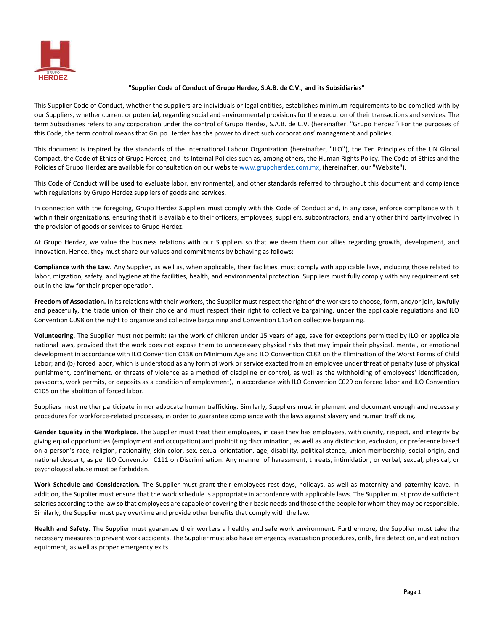

## **"Supplier Code of Conduct of Grupo Herdez, S.A.B. de C.V., and its Subsidiaries"**

This Supplier Code of Conduct, whether the suppliers are individuals or legal entities, establishes minimum requirements to be complied with by our Suppliers, whether current or potential, regarding social and environmental provisions for the execution of their transactions and services. The term Subsidiaries refers to any corporation under the control of Grupo Herdez, S.A.B. de C.V. (hereinafter, "Grupo Herdez") For the purposes of this Code, the term control means that Grupo Herdez has the power to direct such corporations' management and policies.

This document is inspired by the standards of the International Labour Organization (hereinafter, "ILO"), the Ten Principles of the UN Global Compact, the Code of Ethics of Grupo Herdez, and its Internal Policies such as, among others, the Human Rights Policy. The Code of Ethics and the Policies of Grupo Herdez are available for consultation on our website [www.grupoherdez.com.mx,](http://www.grupoherdez.com.mx/) (hereinafter, our "Website").

This Code of Conduct will be used to evaluate labor, environmental, and other standards referred to throughout this document and compliance with regulations by Grupo Herdez suppliers of goods and services.

In connection with the foregoing, Grupo Herdez Suppliers must comply with this Code of Conduct and, in any case, enforce compliance with it within their organizations, ensuring that it is available to their officers, employees, suppliers, subcontractors, and any other third party involved in the provision of goods or services to Grupo Herdez.

At Grupo Herdez, we value the business relations with our Suppliers so that we deem them our allies regarding growth, development, and innovation. Hence, they must share our values and commitments by behaving as follows:

**Compliance with the Law.** Any Supplier, as well as, when applicable, their facilities, must comply with applicable laws, including those related to labor, migration, safety, and hygiene at the facilities, health, and environmental protection. Suppliers must fully comply with any requirement set out in the law for their proper operation.

**Freedom of Association.** In its relations with their workers, the Supplier must respect the right of the workers to choose, form, and/or join, lawfully and peacefully, the trade union of their choice and must respect their right to collective bargaining, under the applicable regulations and ILO Convention C098 on the right to organize and collective bargaining and Convention C154 on collective bargaining.

**Volunteering.** The Supplier must not permit: (a) the work of children under 15 years of age, save for exceptions permitted by ILO or applicable national laws, provided that the work does not expose them to unnecessary physical risks that may impair their physical, mental, or emotional development in accordance with ILO Convention C138 on Minimum Age and ILO Convention C182 on the Elimination of the Worst Forms of Child Labor; and (b) forced labor, which is understood as any form of work or service exacted from an employee under threat of penalty (use of physical punishment, confinement, or threats of violence as a method of discipline or control, as well as the withholding of employees' identification, passports, work permits, or deposits as a condition of employment), in accordance with ILO Convention C029 on forced labor and ILO Convention C105 on the abolition of forced labor.

Suppliers must neither participate in nor advocate human trafficking. Similarly, Suppliers must implement and document enough and necessary procedures for workforce-related processes, in order to guarantee compliance with the laws against slavery and human trafficking.

Gender Equality in the Workplace. The Supplier must treat their employees, in case they has employees, with dignity, respect, and integrity by giving equal opportunities (employment and occupation) and prohibiting discrimination, as well as any distinction, exclusion, or preference based on a person's race, religion, nationality, skin color, sex, sexual orientation, age, disability, political stance, union membership, social origin, and national descent, as per ILO Convention C111 on Discrimination. Any manner of harassment, threats, intimidation, or verbal, sexual, physical, or psychological abuse must be forbidden.

**Work Schedule and Consideration.** The Supplier must grant their employees rest days, holidays, as well as maternity and paternity leave. In addition, the Supplier must ensure that the work schedule is appropriate in accordance with applicable laws. The Supplier must provide sufficient salaries according to the law so that employees are capable of covering their basic needs and those of the people for whom they may be responsible. Similarly, the Supplier must pay overtime and provide other benefits that comply with the law.

**Health and Safety.** The Supplier must guarantee their workers a healthy and safe work environment. Furthermore, the Supplier must take the necessary measures to prevent work accidents. The Supplier must also have emergency evacuation procedures, drills, fire detection, and extinction equipment, as well as proper emergency exits.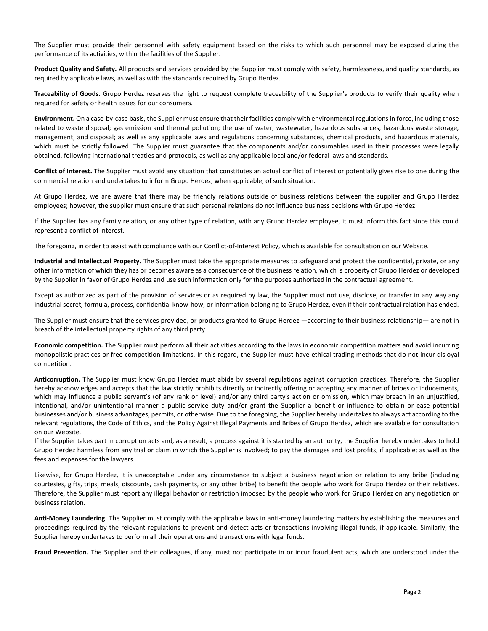The Supplier must provide their personnel with safety equipment based on the risks to which such personnel may be exposed during the performance of its activities, within the facilities of the Supplier.

**Product Quality and Safety.** All products and services provided by the Supplier must comply with safety, harmlessness, and quality standards, as required by applicable laws, as well as with the standards required by Grupo Herdez.

**Traceability of Goods.** Grupo Herdez reserves the right to request complete traceability of the Supplier's products to verify their quality when required for safety or health issues for our consumers.

**Environment.** On a case-by-case basis, the Supplier must ensure that their facilities comply with environmental regulations in force, including those related to waste disposal; gas emission and thermal pollution; the use of water, wastewater, hazardous substances; hazardous waste storage, management, and disposal; as well as any applicable laws and regulations concerning substances, chemical products, and hazardous materials, which must be strictly followed. The Supplier must guarantee that the components and/or consumables used in their processes were legally obtained, following international treaties and protocols, as well as any applicable local and/or federal laws and standards.

**Conflict of Interest.** The Supplier must avoid any situation that constitutes an actual conflict of interest or potentially gives rise to one during the commercial relation and undertakes to inform Grupo Herdez, when applicable, of such situation.

At Grupo Herdez, we are aware that there may be friendly relations outside of business relations between the supplier and Grupo Herdez employees; however, the supplier must ensure that such personal relations do not influence business decisions with Grupo Herdez.

If the Supplier has any family relation, or any other type of relation, with any Grupo Herdez employee, it must inform this fact since this could represent a conflict of interest.

The foregoing, in order to assist with compliance with our Conflict-of-Interest Policy, which is available for consultation on our Website.

**Industrial and Intellectual Property.** The Supplier must take the appropriate measures to safeguard and protect the confidential, private, or any other information of which they has or becomes aware as a consequence of the business relation, which is property of Grupo Herdez or developed by the Supplier in favor of Grupo Herdez and use such information only for the purposes authorized in the contractual agreement.

Except as authorized as part of the provision of services or as required by law, the Supplier must not use, disclose, or transfer in any way any industrial secret, formula, process, confidential know-how, or information belonging to Grupo Herdez, even if their contractual relation has ended.

The Supplier must ensure that the services provided, or products granted to Grupo Herdez —according to their business relationship— are not in breach of the intellectual property rights of any third party.

**Economic competition.** The Supplier must perform all their activities according to the laws in economic competition matters and avoid incurring monopolistic practices or free competition limitations. In this regard, the Supplier must have ethical trading methods that do not incur disloyal competition.

**Anticorruption.** The Supplier must know Grupo Herdez must abide by several regulations against corruption practices. Therefore, the Supplier hereby acknowledges and accepts that the law strictly prohibits directly or indirectly offering or accepting any manner of bribes or inducements, which may influence a public servant's (of any rank or level) and/or any third party's action or omission, which may breach in an unjustified, intentional, and/or unintentional manner a public service duty and/or grant the Supplier a benefit or influence to obtain or ease potential businesses and/or business advantages, permits, or otherwise. Due to the foregoing, the Supplier hereby undertakes to always act according to the relevant regulations, the Code of Ethics, and the Policy Against Illegal Payments and Bribes of Grupo Herdez, which are available for consultation on our Website.

If the Supplier takes part in corruption acts and, as a result, a process against it is started by an authority, the Supplier hereby undertakes to hold Grupo Herdez harmless from any trial or claim in which the Supplier is involved; to pay the damages and lost profits, if applicable; as well as the fees and expenses for the lawyers.

Likewise, for Grupo Herdez, it is unacceptable under any circumstance to subject a business negotiation or relation to any bribe (including courtesies, gifts, trips, meals, discounts, cash payments, or any other bribe) to benefit the people who work for Grupo Herdez or their relatives. Therefore, the Supplier must report any illegal behavior or restriction imposed by the people who work for Grupo Herdez on any negotiation or business relation.

**Anti-Money Laundering.** The Supplier must comply with the applicable laws in anti-money laundering matters by establishing the measures and proceedings required by the relevant regulations to prevent and detect acts or transactions involving illegal funds, if applicable. Similarly, the Supplier hereby undertakes to perform all their operations and transactions with legal funds.

**Fraud Prevention.** The Supplier and their colleagues, if any, must not participate in or incur fraudulent acts, which are understood under the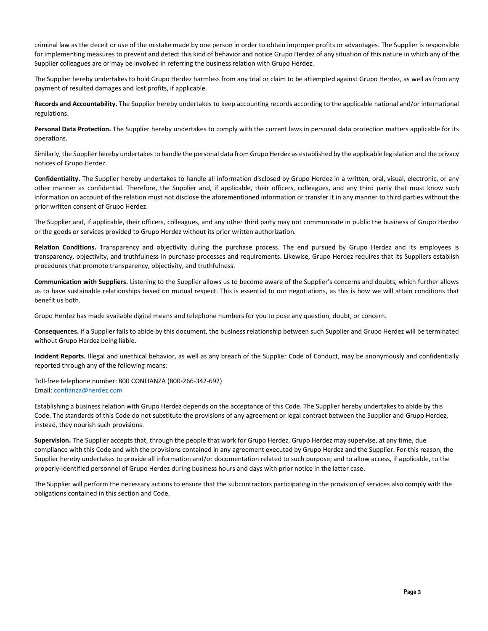criminal law as the deceit or use of the mistake made by one person in order to obtain improper profits or advantages. The Supplier is responsible for implementing measures to prevent and detect this kind of behavior and notice Grupo Herdez of any situation of this nature in which any of the Supplier colleagues are or may be involved in referring the business relation with Grupo Herdez.

The Supplier hereby undertakes to hold Grupo Herdez harmless from any trial or claim to be attempted against Grupo Herdez, as well as from any payment of resulted damages and lost profits, if applicable.

**Records and Accountability.** The Supplier hereby undertakes to keep accounting records according to the applicable national and/or international regulations.

**Personal Data Protection.** The Supplier hereby undertakes to comply with the current laws in personal data protection matters applicable for its operations.

Similarly, the Supplier hereby undertakes to handle the personal data from Grupo Herdez as established by the applicable legislation and the privacy notices of Grupo Herdez.

**Confidentiality.** The Supplier hereby undertakes to handle all information disclosed by Grupo Herdez in a written, oral, visual, electronic, or any other manner as confidential. Therefore, the Supplier and, if applicable, their officers, colleagues, and any third party that must know such information on account of the relation must not disclose the aforementioned information or transfer it in any manner to third parties without the prior written consent of Grupo Herdez.

The Supplier and, if applicable, their officers, colleagues, and any other third party may not communicate in public the business of Grupo Herdez or the goods or services provided to Grupo Herdez without its prior written authorization.

**Relation Conditions.** Transparency and objectivity during the purchase process. The end pursued by Grupo Herdez and its employees is transparency, objectivity, and truthfulness in purchase processes and requirements. Likewise, Grupo Herdez requires that its Suppliers establish procedures that promote transparency, objectivity, and truthfulness.

**Communication with Suppliers.** Listening to the Supplier allows us to become aware of the Supplier's concerns and doubts, which further allows us to have sustainable relationships based on mutual respect. This is essential to our negotiations, as this is how we will attain conditions that benefit us both.

Grupo Herdez has made available digital means and telephone numbers for you to pose any question, doubt, or concern.

**Consequences.** If a Supplier fails to abide by this document, the business relationship between such Supplier and Grupo Herdez will be terminated without Grupo Herdez being liable.

**Incident Reports.** Illegal and unethical behavior, as well as any breach of the Supplier Code of Conduct, may be anonymously and confidentially reported through any of the following means:

Toll-free telephone number: 800 CONFIANZA (800-266-342-692) Email: [confianza@herdez.com](mailto:confianza@herdez.com)

Establishing a business relation with Grupo Herdez depends on the acceptance of this Code. The Supplier hereby undertakes to abide by this Code. The standards of this Code do not substitute the provisions of any agreement or legal contract between the Supplier and Grupo Herdez, instead, they nourish such provisions.

**Supervision.** The Supplier accepts that, through the people that work for Grupo Herdez, Grupo Herdez may supervise, at any time, due compliance with this Code and with the provisions contained in any agreement executed by Grupo Herdez and the Supplier. For this reason, the Supplier hereby undertakes to provide all information and/or documentation related to such purpose; and to allow access, if applicable, to the properly-identified personnel of Grupo Herdez during business hours and days with prior notice in the latter case.

The Supplier will perform the necessary actions to ensure that the subcontractors participating in the provision of services also comply with the obligations contained in this section and Code.